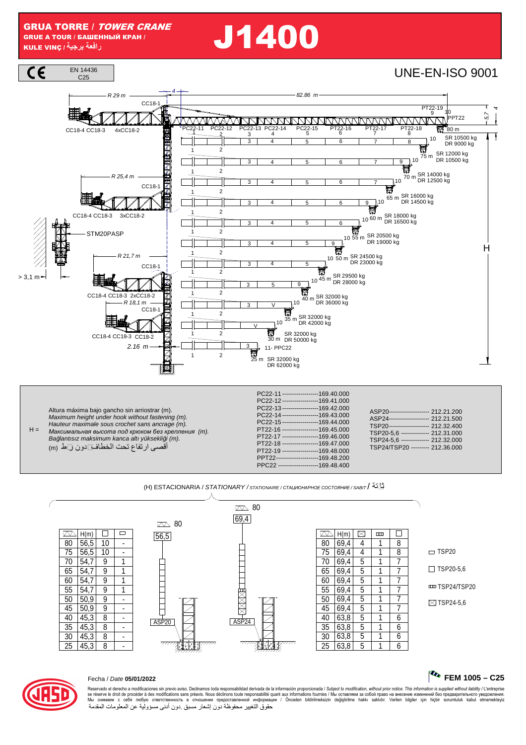GRUA TORRE / TOWER CRANE GRUE A TOUR / БАШЕННЫЙ КРАН / GRUE A TOIR*I* E ALEVING / **FALUE LING OF CRAINE**<br>KULE VINC / <sup>{</sup> بِجِيةَ بِرِجِيةَ *إِ*رِجِيةَ *إِ* 



 $H =$ Maximum height under hook without fastening (m). Hauteur maximale sous crochet sans ancrage (m). *Максимальная высота под крюком без крепления* (m). Ba*ğ*lantısız maksimum kanca altı yüksekli*ğ*i (m). أقصى ارتفاع تحت الخطاف بدون ربط (m(

PC22-14 --------------------169.43.000<br>PC22-15 -------------------169.44.000 PC22-15 -------------------169.44.000<br>PT22-16 ------------------169.45.000 PT22-16 ------------------169.45.000 PT22-17 ---------------------169.46.000<br>PT22-18 ----------------------169 47 000  $-169.47.000$ PT22-19 ------------------169.48.000 PPT22-------------------------169.48.200<br>PPC22----------------------------169.48.400  $-169.48.400$ 

(H) ESTACIONARIA / STATIONARY / STATIONAIRE / *СТАЦИОНАРНОЕ СОСТОЯНИЕ* / SABIT / ثابتة



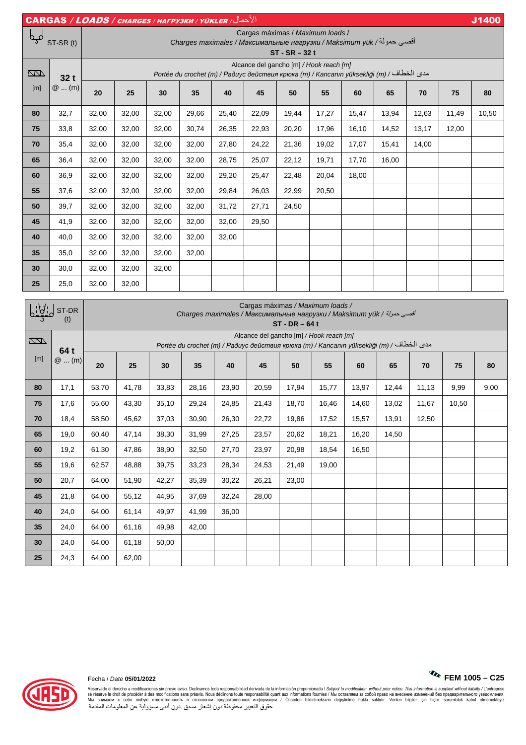|                   |         | الأحمال/ CARGAS / LOADS / CHARGES / HAFPY3KW / YÜKLER                                                                                      |       |       |       |       |       |       |       |       |       |       |                          | J1400 |
|-------------------|---------|--------------------------------------------------------------------------------------------------------------------------------------------|-------|-------|-------|-------|-------|-------|-------|-------|-------|-------|--------------------------|-------|
| لمہا<br>ST-SR (t) |         | Cargas máximas / Maximum loads /<br>Сharges maximales / Максимальные нагрузки / Maksimum yük /اقصىي حمولة/ Charges<br>$ST - SR - 32t$      |       |       |       |       |       |       |       |       |       |       |                          |       |
| $\Box$<br>[m]     | 32 t    | Alcance del gancho [m] / Hook reach [m]<br>مدى الخطاف / Portée du crochet (m) / Радиус действия крюка (m) / Kancanın yüksekliği (m) / Ради |       |       |       |       |       |       |       |       |       |       |                          |       |
|                   | $@$ (m) | 20                                                                                                                                         | 25    | 30    | 35    | 40    | 45    | 50    | 55    | 60    | 65    | 70    | 75                       | 80    |
| 80                | 32,7    | 32,00                                                                                                                                      | 32,00 | 32,00 | 29,66 | 25,40 | 22,09 | 19,44 | 17,27 | 15,47 | 13,94 | 12,63 | 11,49                    | 10,50 |
| 75                | 33,8    | 32,00                                                                                                                                      | 32,00 | 32,00 | 30,74 | 26,35 | 22,93 | 20,20 | 17,96 | 16,10 | 14,52 | 13,17 | 12,00                    |       |
| 70                | 35,4    | 32,00                                                                                                                                      | 32,00 | 32,00 | 32,00 | 27,80 | 24,22 | 21,36 | 19,02 | 17,07 | 15,41 | 14,00 | $\overline{\phantom{0}}$ |       |
| 65                | 36,4    | 32,00                                                                                                                                      | 32,00 | 32,00 | 32.00 | 28,75 | 25,07 | 22,12 | 19,71 | 17,70 | 16,00 |       |                          |       |
| 60                | 36,9    | 32,00                                                                                                                                      | 32,00 | 32,00 | 32,00 | 29,20 | 25,47 | 22,48 | 20,04 | 18,00 |       |       | $\overline{\phantom{0}}$ |       |
| 55                | 37,6    | 32,00                                                                                                                                      | 32,00 | 32,00 | 32,00 | 29,84 | 26,03 | 22,99 | 20,50 |       |       |       |                          |       |
| 50                | 39,7    | 32,00                                                                                                                                      | 32,00 | 32,00 | 32,00 | 31,72 | 27,71 | 24,50 |       |       |       |       | $\overline{\phantom{0}}$ |       |
| 45                | 41,9    | 32,00                                                                                                                                      | 32,00 | 32,00 | 32,00 | 32,00 | 29,50 |       |       |       |       |       | $\overline{\phantom{0}}$ |       |
| 40                | 40,0    | 32,00                                                                                                                                      | 32,00 | 32,00 | 32,00 | 32,00 |       |       |       |       |       |       |                          |       |
| 35                | 35,0    | 32,00                                                                                                                                      | 32,00 | 32,00 | 32,00 |       |       |       |       |       |       |       |                          |       |
| 30                | 30,0    | 32,00                                                                                                                                      | 32,00 | 32,00 |       |       |       |       |       |       |       |       |                          |       |
| 25                | 25,0    | 32,00                                                                                                                                      | 32,00 |       |       |       |       |       |       |       |       |       |                          |       |

| <u>    U   J</u><br>ST-DR<br>(t) |                 | Cargas máximas / Maximum loads /<br>Charges maximales / Максимальные нагрузки / Maksimum yük / أقصى حمولة / Charges<br>$ST - DR - 64t$    |       |       |       |       |       |       |       |       |       |       |       |      |
|----------------------------------|-----------------|-------------------------------------------------------------------------------------------------------------------------------------------|-------|-------|-------|-------|-------|-------|-------|-------|-------|-------|-------|------|
| $\overline{\mathbb{Z}}$          |                 | Alcance del gancho [m] / Hook reach [m]<br>مدى الخطاف/ Portée du crochet (m) / Радиус действия крюка (m) / Kancanın yüksekliği (m) / Ради |       |       |       |       |       |       |       |       |       |       |       |      |
| [m]                              | 64 t<br>$@$ (m) | 20                                                                                                                                        | 25    | 30    | 35    | 40    | 45    | 50    | 55    | 60    | 65    | 70    | 75    | 80   |
| 80                               | 17,1            | 53,70                                                                                                                                     | 41,78 | 33,83 | 28,16 | 23,90 | 20,59 | 17,94 | 15,77 | 13,97 | 12,44 | 11,13 | 9,99  | 9,00 |
| 75                               | 17,6            | 55,60                                                                                                                                     | 43,30 | 35,10 | 29,24 | 24,85 | 21,43 | 18,70 | 16,46 | 14,60 | 13,02 | 11,67 | 10,50 |      |
| 70                               | 18,4            | 58,50                                                                                                                                     | 45,62 | 37,03 | 30,90 | 26,30 | 22,72 | 19,86 | 17,52 | 15,57 | 13,91 | 12,50 |       |      |
| 65                               | 19,0            | 60,40                                                                                                                                     | 47,14 | 38,30 | 31,99 | 27,25 | 23,57 | 20,62 | 18,21 | 16,20 | 14,50 |       |       |      |
| 60                               | 19,2            | 61,30                                                                                                                                     | 47,86 | 38,90 | 32,50 | 27,70 | 23,97 | 20,98 | 18,54 | 16,50 |       |       |       |      |
| 55                               | 19,6            | 62,57                                                                                                                                     | 48,88 | 39,75 | 33,23 | 28,34 | 24,53 | 21,49 | 19,00 |       |       |       |       |      |
| 50                               | 20,7            | 64,00                                                                                                                                     | 51,90 | 42,27 | 35,39 | 30,22 | 26,21 | 23,00 |       |       |       |       |       |      |
| 45                               | 21,8            | 64,00                                                                                                                                     | 55,12 | 44.95 | 37,69 | 32,24 | 28,00 |       |       |       |       |       |       |      |
| 40                               | 24,0            | 64,00                                                                                                                                     | 61,14 | 49,97 | 41,99 | 36,00 |       |       |       |       |       |       |       |      |
| 35                               | 24,0            | 64,00                                                                                                                                     | 61,16 | 49,98 | 42,00 |       |       |       |       |       |       |       |       |      |
| 30                               | 24,0            | 64,00                                                                                                                                     | 61,18 | 50,00 |       |       |       |       |       |       |       |       |       |      |
| 25                               | 24,3            | 64,00                                                                                                                                     | 62,00 |       |       |       |       |       |       |       |       |       |       |      |

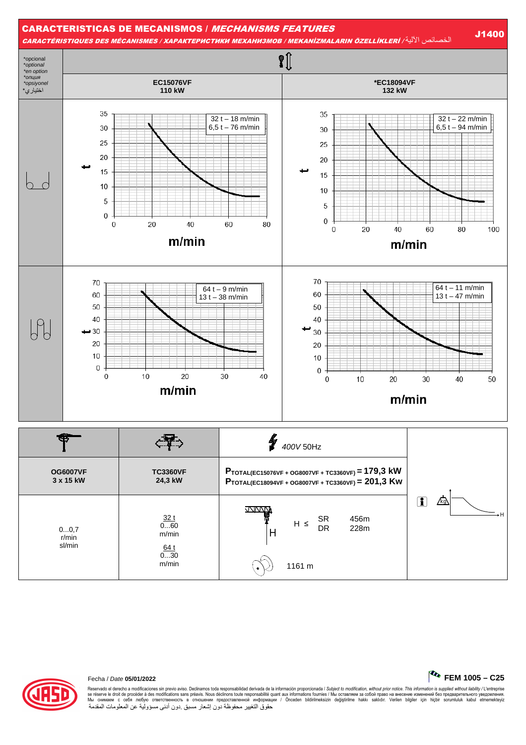

| <b>OG6007VF</b>         | <b>TC3360VF</b>                             | $P_{\text{TOTAL}(EC15076VF + OG8007VF + TC3360VF)} = 179.3$ kW              |           |
|-------------------------|---------------------------------------------|-----------------------------------------------------------------------------|-----------|
| 3 x 15 kW               | 24,3 kW                                     | PTOTAL(EC18094VF + OG8007VF + TC3360VF) = 201,3 KW                          |           |
| 00,7<br>r/min<br>sl/min | 32t<br>060<br>m/min<br>64 t<br>030<br>m/min | <b>JAINAN</b><br><b>SR</b><br>456m<br>$H \leq$<br>DR<br>228m<br>H<br>1161 m | т<br>/kg\ |



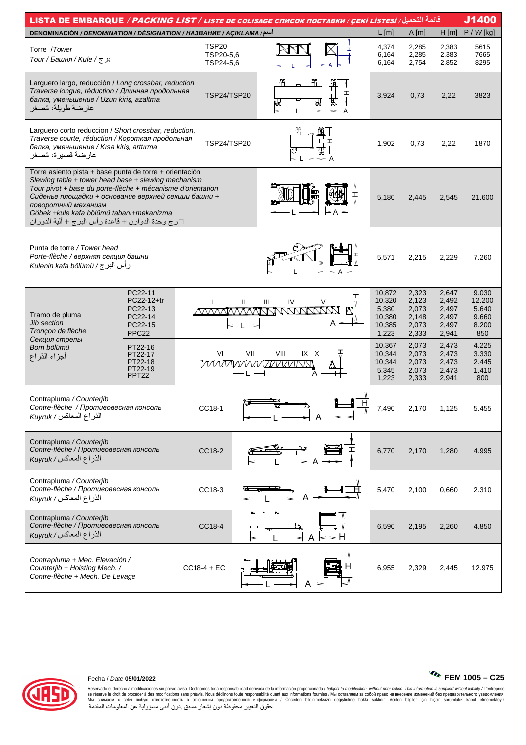| قائمة التحميل/ LISTA DE EMBARQUE / PACKING LIST / LISTE DE COLISAGE СПИСОК ПОСТАВКИ / ÇEKİ LİSTESİ<br>J1400                                                                                                                                                                                                                                                           |                                                                             |                                             |                                                                                   |                               |        |                                                        |                                                    |                                                    |                                                   |  |  |  |
|-----------------------------------------------------------------------------------------------------------------------------------------------------------------------------------------------------------------------------------------------------------------------------------------------------------------------------------------------------------------------|-----------------------------------------------------------------------------|---------------------------------------------|-----------------------------------------------------------------------------------|-------------------------------|--------|--------------------------------------------------------|----------------------------------------------------|----------------------------------------------------|---------------------------------------------------|--|--|--|
| DENOMINACIÓN / DENOMINATION / DÉSIGNATION / HA3BAHHE / AÇIKLAMA / اسم                                                                                                                                                                                                                                                                                                 |                                                                             |                                             |                                                                                   |                               |        | $L$ [m]                                                | A[m]                                               | $H$ [m]                                            | $P / W$ [kg]                                      |  |  |  |
| Torre /Tower<br>برج/Kule / ج                                                                                                                                                                                                                                                                                                                                          |                                                                             | TSP <sub>20</sub><br>TSP20-5,6<br>TSP24-5,6 |                                                                                   |                               |        | 4,374<br>6,164<br>6,164                                | 2,285<br>2,285<br>2,754                            | 2,383<br>2,383<br>2,852                            | 5615<br>7665<br>8295                              |  |  |  |
| Larguero largo, reducción / Long crossbar, reduction<br>Traverse longue, réduction / Длинная продольная<br>балка, уменьшение / Uzun kiriş, azaltma<br>عارضة طويلة، مُصغر                                                                                                                                                                                              |                                                                             | <b>TSP24/TSP20</b>                          |                                                                                   | Ĥ                             | I<br>₩ | 3,924                                                  | 0,73                                               | 2,22                                               | 3823                                              |  |  |  |
| Larguero corto reduccion / Short crossbar, reduction,<br>Traverse courte, réduction / Короткая продольная<br>балка, уменьшение / Kisa kiriş, arttırma<br>عارضة قصيرة، مُصغر                                                                                                                                                                                           |                                                                             | TSP24/TSP20                                 |                                                                                   |                               | ェ      | 1,902                                                  | 0,73                                               | 2,22                                               | 1870                                              |  |  |  |
| Torre asiento pista + base punta de torre + orientación<br>Slewing table + tower head base + slewing mechanism<br>Tour pivot + base du porte-flèche + mécanisme d'orientation<br>Сиденье площадки + основание верхней секции башни +<br>поворотный механизм<br>Göbek + kule kafa bölümü tabanı + mekanizma<br>رج وحدة الدوارن + قاعدة رأس البرج + ألية الدوران $\Box$ |                                                                             |                                             |                                                                                   |                               |        | 5,180                                                  | 2,445                                              | 2,545                                              | 21.600                                            |  |  |  |
| Punta de torre / Tower head<br>Porte-flèche / верхняя секция башни<br>رأس البرج/ Kulenin kafa bölümü                                                                                                                                                                                                                                                                  |                                                                             |                                             |                                                                                   |                               |        | 5,571                                                  | 2,215                                              | 2,229                                              | 7.260                                             |  |  |  |
| Tramo de pluma<br><b>Jib section</b><br>Tronçon de flèche<br>Секция стрелы                                                                                                                                                                                                                                                                                            | PC22-11<br>PC22-12+tr<br>PC22-13<br>PC22-14<br>PC22-15<br>PPC <sub>22</sub> |                                             | Ш                                                                                 | IV<br>Ш<br><u>MMMMMMMMMMM</u> | ェ<br>٧ | 10,872<br>10,320<br>5,380<br>10,380<br>10,385<br>1,223 | 2,323<br>2,123<br>2,073<br>2,148<br>2,073<br>2,333 | 2,647<br>2,492<br>2,497<br>2,497<br>2,497<br>2,941 | 9.030<br>12.200<br>5.640<br>9.660<br>8.200<br>850 |  |  |  |
| Bom bölümü<br>أجزاء الذراع                                                                                                                                                                                                                                                                                                                                            | PT22-16<br>PT22-17<br>PT22-18<br>PT22-19<br>PPT22                           | VI                                          | VII<br>VIII<br>IX X<br><i>WWWWWWWW</i><br>$\leftarrow$ $\leftarrow$ $\rightarrow$ |                               |        | 10,367<br>10,344<br>10,344<br>5,345<br>1,223           | 2,073<br>2,073<br>2,073<br>2,073<br>2,333          | 2,473<br>2,473<br>2,473<br>2,473<br>2,941          | 4.225<br>3.330<br>2.445<br>1.410<br>800           |  |  |  |
| Contrapluma / Counterjib<br>Contre-flèche / Противовесная консоль<br>الذراع المعاكس / Kuyruk                                                                                                                                                                                                                                                                          |                                                                             | CC18-1                                      |                                                                                   |                               |        | 7,490                                                  | 2,170                                              | 1,125                                              | 5.455                                             |  |  |  |
| Contrapluma / Counterjib<br>Contre-flèche / Противовесная консоль<br>الذراع المعاكس / Kuyruk                                                                                                                                                                                                                                                                          |                                                                             | CC18-2                                      |                                                                                   |                               |        | 6,770                                                  | 2,170                                              | 1,280                                              | 4.995                                             |  |  |  |
| Contrapluma / Counterjib<br>Contre-flèche / Противовесная консоль<br>الذراع المعاكس/ Kuyruk                                                                                                                                                                                                                                                                           | CC18-3                                                                      |                                             |                                                                                   |                               | 5,470  | 2,100                                                  | 0,660                                              | 2.310                                              |                                                   |  |  |  |
| Contrapluma / Counterjib<br>Contre-flèche / Противовесная консоль<br>الذراع المعاكس/ Kuyruk                                                                                                                                                                                                                                                                           | CC18-4                                                                      |                                             |                                                                                   |                               | 6,590  | 2,195                                                  | 2,260                                              | 4.850                                              |                                                   |  |  |  |
| Contrapluma + Mec. Elevación /<br>Counterjib + Hoisting Mech. /<br>Contre-flèche + Mech. De Levage                                                                                                                                                                                                                                                                    | $CC18-4 + EC$                                                               |                                             |                                                                                   |                               | 6,955  | 2,329                                                  | 2,445                                              | 12.975                                             |                                                   |  |  |  |



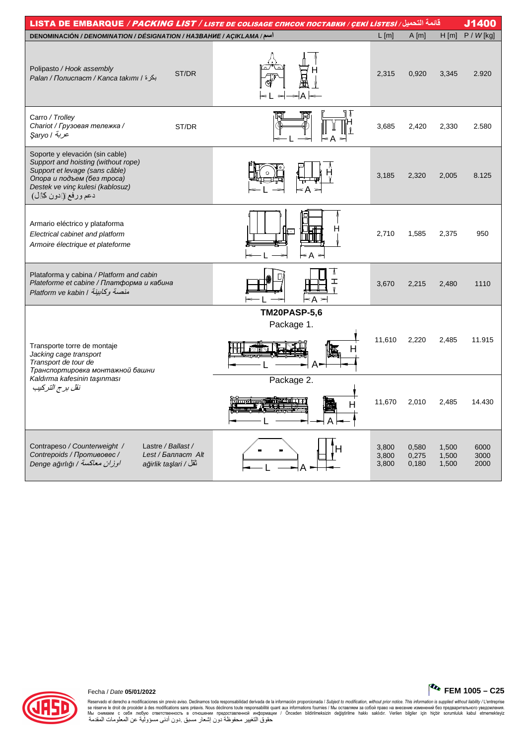| قائمة التحميل/ LISTA DE EMBARQUE / PACKING LIST / LISTE DE COLISAGE СПИСОК ПОСТАВКИ / ÇEKİ LİSTESİ /                                                                                              |                                             |                                     |                         |                         |                         |                      |  |  |  |  |  |  |
|---------------------------------------------------------------------------------------------------------------------------------------------------------------------------------------------------|---------------------------------------------|-------------------------------------|-------------------------|-------------------------|-------------------------|----------------------|--|--|--|--|--|--|
| اسم/ DENOMINACIÓN / DENOMINATION / DÉSIGNATION / HA3BAHИE / AÇIKLAMA                                                                                                                              |                                             |                                     | $L$ [m]                 | A[m]                    | H[m]                    | $P / W$ [kg]         |  |  |  |  |  |  |
| Polipasto / Hook assembly<br>بكرة / Palan / Полиспаст / Kanca takımı /                                                                                                                            | ST/DR                                       |                                     | 2,315                   | 0,920                   | 3,345                   | 2.920                |  |  |  |  |  |  |
| Carro / Trolley<br>Chariot / Грузовая тележка /<br>ع <i>ربة  </i> Şaryo                                                                                                                           | ST/DR                                       |                                     | 3,685                   | 2,420                   | 2,330                   | 2.580                |  |  |  |  |  |  |
| Soporte y elevación (sin cable)<br>Support and hoisting (without rope)<br>Support et levage (sans câble)<br>Опора и подъем (без троса)<br>Destek ve vinç kulesi (kablosuz)<br>دعم ورفع لادون كال) |                                             |                                     | 3,185                   | 2,320                   | 2,005                   | 8.125                |  |  |  |  |  |  |
| Armario eléctrico y plataforma<br>Electrical cabinet and platform<br>Armoire électrique et plateforme                                                                                             |                                             | н<br>⊓<br>$\leq$ A<br>$\Rightarrow$ | 2,710                   | 1,585                   | 2,375                   | 950                  |  |  |  |  |  |  |
| Plataforma y cabina / Platform and cabin<br>Plateforme et cabine / Платформа и кабина<br>منصة وكابينة / Platform ve kabin                                                                         |                                             | Λ<br>ェ<br>≤A                        | 3,670                   | 2,215                   | 2,480                   | 1110                 |  |  |  |  |  |  |
| Transporte torre de montaje<br>Jacking cage transport<br>Transport de tour de<br>Транспортировка монтажной башни                                                                                  |                                             | <b>TM20PASP-5,6</b><br>Package 1.   | 11,610                  | 2,220                   | 2,485                   | 11.915               |  |  |  |  |  |  |
| Kaldırma kafesinin taşınması<br>نقل برج التركيب                                                                                                                                                   |                                             | Package 2.<br>н                     | 11,670                  | 2,010                   | 2,485                   | 14.430               |  |  |  |  |  |  |
| Lastre / Ballast /<br>Contrapeso / Counterweight /<br>Contrepoids / Противовес /<br>اوزان معاكسة / Denge ağırlığı                                                                                 | Lest / Балласт Alt<br>ağirlik taşlari / ثقل |                                     | 3,800<br>3,800<br>3,800 | 0,580<br>0,275<br>0,180 | 1,500<br>1,500<br>1,500 | 6000<br>3000<br>2000 |  |  |  |  |  |  |